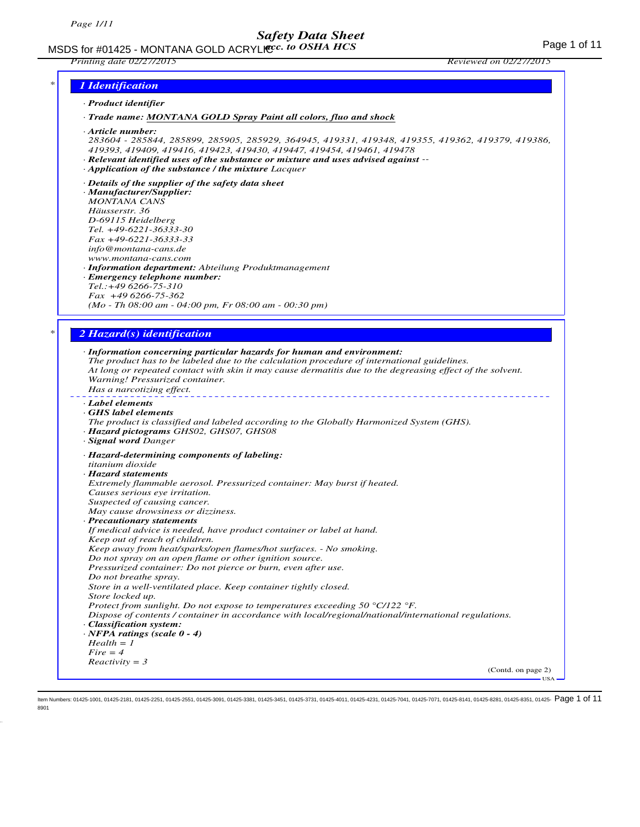MSDS for #01425 - MONTANA GOLD ACRYLICC. to OSHA HCS **Acceleration of the CALC Page 1** of 11

*Printing date 02/27/2015 Reviewed on 02/27/2015*

### *\* 1 Identification*

#### *· Product identifier*

*· Trade name: MONTANA GOLD Spray Paint all colors, fluo and shock*

*· Article number:*

*283604 - 285844, 285899, 285905, 285929, 364945, 419331, 419348, 419355, 419362, 419379, 419386, 419393, 419409, 419416, 419423, 419430, 419447, 419454, 419461, 419478*

- *· Relevant identified uses of the substance or mixture and uses advised against --*
- *· Application of the substance / the mixture Lacquer*
- *· Details of the supplier of the safety data sheet*
- *· Manufacturer/Supplier:*
- *MONTANA CANS*
- *Häusserstr. 36 D-69115 Heidelberg*
- *Tel. +49-6221-36333-30*
- *Fax +49-6221-36333-33*
- *info@montana-cans.de*
- *www.montana-cans.com*
- *· Information department: Abteilung Produktmanagement*
- *· Emergency telephone number:*
- *Tel.:+49 6266-75-310 Fax +49 6266-75-362*

*(Mo - Th 08:00 am - 04:00 pm, Fr 08:00 am - 00:30 pm)*

### *\* 2 Hazard(s) identification*

| · Label elements<br>GHS label elements<br>The product is classified and labeled according to the Globally Harmonized System (GHS).<br>· Hazard pictograms GHS02, GHS07, GHS08<br>· Signal word Danger<br>· Hazard-determining components of labeling:<br>titanium dioxide<br>· Hazard statements<br>Extremely flammable aerosol. Pressurized container: May burst if heated.<br>Causes serious eye irritation.<br>Suspected of causing cancer.<br>May cause drowsiness or dizziness.<br>· Precautionary statements<br>If medical advice is needed, have product container or label at hand.<br>Keep out of reach of children.<br>Keep away from heat/sparks/open flames/hot surfaces. - No smoking.<br>Do not spray on an open flame or other ignition source.<br>Pressurized container: Do not pierce or burn, even after use.<br>Do not breathe spray. |
|----------------------------------------------------------------------------------------------------------------------------------------------------------------------------------------------------------------------------------------------------------------------------------------------------------------------------------------------------------------------------------------------------------------------------------------------------------------------------------------------------------------------------------------------------------------------------------------------------------------------------------------------------------------------------------------------------------------------------------------------------------------------------------------------------------------------------------------------------------|
|                                                                                                                                                                                                                                                                                                                                                                                                                                                                                                                                                                                                                                                                                                                                                                                                                                                          |
|                                                                                                                                                                                                                                                                                                                                                                                                                                                                                                                                                                                                                                                                                                                                                                                                                                                          |
|                                                                                                                                                                                                                                                                                                                                                                                                                                                                                                                                                                                                                                                                                                                                                                                                                                                          |
|                                                                                                                                                                                                                                                                                                                                                                                                                                                                                                                                                                                                                                                                                                                                                                                                                                                          |
|                                                                                                                                                                                                                                                                                                                                                                                                                                                                                                                                                                                                                                                                                                                                                                                                                                                          |
|                                                                                                                                                                                                                                                                                                                                                                                                                                                                                                                                                                                                                                                                                                                                                                                                                                                          |
|                                                                                                                                                                                                                                                                                                                                                                                                                                                                                                                                                                                                                                                                                                                                                                                                                                                          |
|                                                                                                                                                                                                                                                                                                                                                                                                                                                                                                                                                                                                                                                                                                                                                                                                                                                          |
|                                                                                                                                                                                                                                                                                                                                                                                                                                                                                                                                                                                                                                                                                                                                                                                                                                                          |
|                                                                                                                                                                                                                                                                                                                                                                                                                                                                                                                                                                                                                                                                                                                                                                                                                                                          |
|                                                                                                                                                                                                                                                                                                                                                                                                                                                                                                                                                                                                                                                                                                                                                                                                                                                          |
|                                                                                                                                                                                                                                                                                                                                                                                                                                                                                                                                                                                                                                                                                                                                                                                                                                                          |
|                                                                                                                                                                                                                                                                                                                                                                                                                                                                                                                                                                                                                                                                                                                                                                                                                                                          |
|                                                                                                                                                                                                                                                                                                                                                                                                                                                                                                                                                                                                                                                                                                                                                                                                                                                          |
| Store in a well-ventilated place. Keep container tightly closed.                                                                                                                                                                                                                                                                                                                                                                                                                                                                                                                                                                                                                                                                                                                                                                                         |
| Store locked up.                                                                                                                                                                                                                                                                                                                                                                                                                                                                                                                                                                                                                                                                                                                                                                                                                                         |
| Protect from sunlight. Do not expose to temperatures exceeding 50 $\degree$ C/122 $\degree$ F.                                                                                                                                                                                                                                                                                                                                                                                                                                                                                                                                                                                                                                                                                                                                                           |
| Dispose of contents / container in accordance with local/regional/national/international regulations.                                                                                                                                                                                                                                                                                                                                                                                                                                                                                                                                                                                                                                                                                                                                                    |
| · Classification system:                                                                                                                                                                                                                                                                                                                                                                                                                                                                                                                                                                                                                                                                                                                                                                                                                                 |
| $\cdot$ NFPA ratings (scale 0 - 4)                                                                                                                                                                                                                                                                                                                                                                                                                                                                                                                                                                                                                                                                                                                                                                                                                       |
| $Health = 1$                                                                                                                                                                                                                                                                                                                                                                                                                                                                                                                                                                                                                                                                                                                                                                                                                                             |
| $Fire = 4$                                                                                                                                                                                                                                                                                                                                                                                                                                                                                                                                                                                                                                                                                                                                                                                                                                               |
| $Reactivity = 3$                                                                                                                                                                                                                                                                                                                                                                                                                                                                                                                                                                                                                                                                                                                                                                                                                                         |
| (Contd. on page 2)<br>$USA -$                                                                                                                                                                                                                                                                                                                                                                                                                                                                                                                                                                                                                                                                                                                                                                                                                            |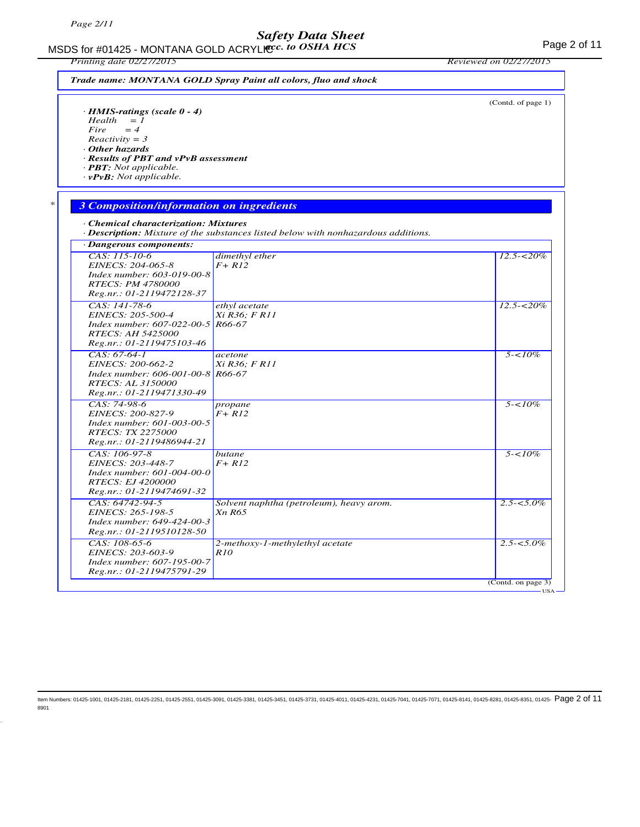MSDS for #01425 - MONTANA GOLD ACRYLICC. to OSHA HCS For the state of 11 MSDS for #01425 - MONTANA GOLD ACRYLICC. *acc. to OSHA HCS*

*Printing date 02/27/2015 Reviewed on 02/27/2015*

|                                                                                                                                                                                                                         |                                                                                                 | (Contd. of page 1) |
|-------------------------------------------------------------------------------------------------------------------------------------------------------------------------------------------------------------------------|-------------------------------------------------------------------------------------------------|--------------------|
| $\cdot$ HMIS-ratings (scale 0 - 4)<br>$Health = 1$<br>Fire<br>$=4$<br>$Reactivity = 3$<br>Other hazards<br>· Results of PBT and vPvB assessment<br>$\cdot$ <b>PBT:</b> Not applicable.<br>$\cdot$ vPvB: Not applicable. |                                                                                                 |                    |
| <b>3 Composition/information on ingredients</b>                                                                                                                                                                         |                                                                                                 |                    |
| • Chemical characterization: Mixtures                                                                                                                                                                                   | $\cdot$ <b>Description:</b> Mixture of the substances listed below with nonhazardous additions. |                    |
| · Dangerous components:                                                                                                                                                                                                 |                                                                                                 |                    |
| CAS: 115-10-6<br>EINECS: 204-065-8<br>Index number: 603-019-00-8<br><b>RTECS: PM 4780000</b><br>Reg.nr.: 01-2119472128-37                                                                                               | dimethyl ether<br>$F+RI2$                                                                       | $12.5 - 520\%$     |
| CAS: 141-78-6<br>EINECS: 205-500-4<br>Index number: 607-022-00-5 R66-67<br><b>RTECS: AH 5425000</b><br>Reg.nr.: 01-2119475103-46                                                                                        | ethyl acetate<br>Xi R36; F R11                                                                  | $12.5 - 520\%$     |
| $CAS: 67-64-1$<br>EINECS: 200-662-2<br>Index number: 606-001-00-8 R66-67<br>RTECS: AL 3150000<br>Reg.nr.: 01-2119471330-49                                                                                              | acetone<br>Xi R36: F R11                                                                        | $5 - 10\%$         |
| CAS: 74-98-6<br>EINECS: 200-827-9<br>Index number: 601-003-00-5<br><b>RTECS: TX 2275000</b><br>Reg.nr.: 01-2119486944-21                                                                                                | propane<br>$F+RI2$                                                                              | $5 - 10\%$         |
| CAS: 106-97-8<br>EINECS: 203-448-7<br>Index number: 601-004-00-0<br><b>RTECS: EJ 4200000</b><br>Reg.nr.: 01-2119474691-32                                                                                               | butane<br>$F+RI2$                                                                               | $5 - 10\%$         |
| CAS: 64742-94-5<br>EINECS: 265-198-5<br>Index number: 649-424-00-3<br>Reg.nr.: 01-2119510128-50                                                                                                                         | Solvent naphtha (petroleum), heavy arom.<br>Xn R65                                              | $2.5 - 5.0\%$      |
| CAS: 108-65-6<br>EINECS: 203-603-9<br>Index number: 607-195-00-7<br>Reg.nr.: 01-2119475791-29                                                                                                                           | 2-methoxy-1-methylethyl acetate<br><i>R10</i>                                                   | $2.5 - 5.0\%$      |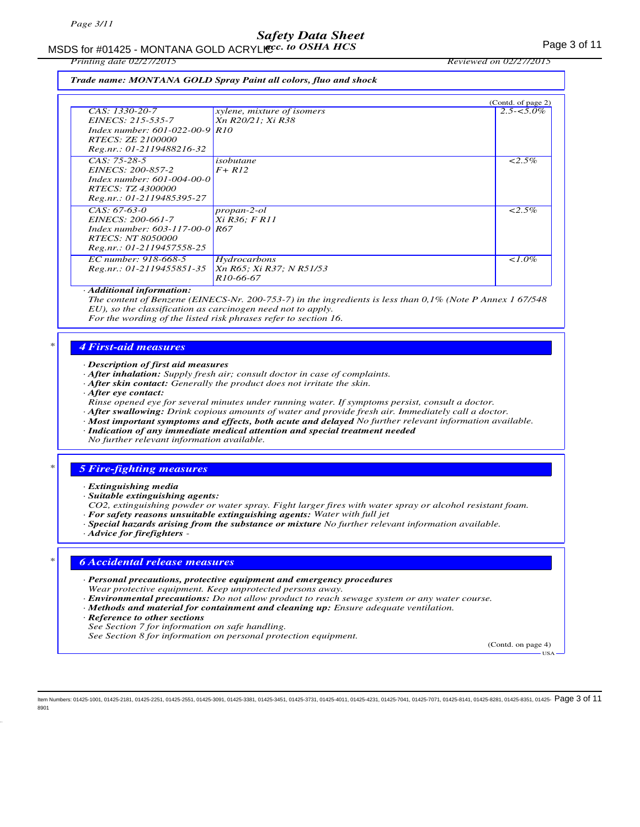# MSDS for #01425 - MONTANA GOLD ACRYLICC. to OSHA HCS **Acceleration of the COSE ACCOLD** ACRYLIC COSHA HCS

*Printing date 02/27/2015 Reviewed on 02/27/2015*

*Trade name: MONTANA GOLD Spray Paint all colors, fluo and shock*

|                                        |                                   | (Contd. of page 2) |
|----------------------------------------|-----------------------------------|--------------------|
| CAS: 1330-20-7                         | <i>xylene, mixture of isomers</i> | $2.5 - 5.0\%$      |
| EINECS: 215-535-7                      | Xn R20/21; Xi R38                 |                    |
| Index number: $601-022-00-9$ R10       |                                   |                    |
| RTECS: ZE 2100000                      |                                   |                    |
| Reg.nr.: 01-2119488216-32              |                                   |                    |
| $CAS: 75-28-5$                         | isobutane                         | $2.5\%$            |
| EINECS: 200-857-2                      | $F+RI2$                           |                    |
| $Index number: 601-004-00-0$           |                                   |                    |
| RTECS: TZ 4300000                      |                                   |                    |
| Reg.nr.: 01-2119485395-27              |                                   |                    |
| $CAS. 67-63-0$                         | propan-2-ol                       | $< 2.5\%$          |
| EINECS: 200-661-7                      | Xi R36; F R11                     |                    |
| Index number: $603 - 117 - 00 - 0$ R67 |                                   |                    |
| <i>RTECS: NT 8050000</i>               |                                   |                    |
| Reg.nr.: 01-2119457558-25              |                                   |                    |
| EC number: 918-668-5                   | Hydrocarbons                      | $\leq 1.0\%$       |
| Reg.nr.: 01-2119455851-35              | Xn R65; Xi R37; N R51/53          |                    |
|                                        | R <sub>10</sub> -66-67            |                    |
|                                        |                                   |                    |

### *· Additional information:*

*The content of Benzene (EINECS-Nr. 200-753-7) in the ingredients is less than 0,1% (Note P Annex 1 67/548 EU), so the classification as carcinogen need not to apply.*

*For the wording of the listed risk phrases refer to section 16.*

### *\* 4 First-aid measures*

*· Description of first aid measures*

- *· After inhalation: Supply fresh air; consult doctor in case of complaints.*
- *· After skin contact: Generally the product does not irritate the skin.*
- *· After eye contact:*
- *Rinse opened eye for several minutes under running water. If symptoms persist, consult a doctor.*
- *· After swallowing: Drink copious amounts of water and provide fresh air. Immediately call a doctor.*
- *· Most important symptoms and effects, both acute and delayed No further relevant information available.*
- *· Indication of any immediate medical attention and special treatment needed No further relevant information available.*

### *\* 5 Fire-fighting measures*

- *· Extinguishing media*
- *· Suitable extinguishing agents:*
- *CO2, extinguishing powder or water spray. Fight larger fires with water spray or alcohol resistant foam.*
- *· For safety reasons unsuitable extinguishing agents: Water with full jet*
- *· Special hazards arising from the substance or mixture No further relevant information available.*
- *· Advice for firefighters*

### *\* 6 Accidental release measures*

- *· Personal precautions, protective equipment and emergency procedures Wear protective equipment. Keep unprotected persons away.*
- *· Environmental precautions: Do not allow product to reach sewage system or any water course.*
- *· Methods and material for containment and cleaning up: Ensure adequate ventilation.*
- *· Reference to other sections*
- *See Section 7 for information on safe handling.*
- *See Section 8 for information on personal protection equipment.*

(Contd. on page 4) USA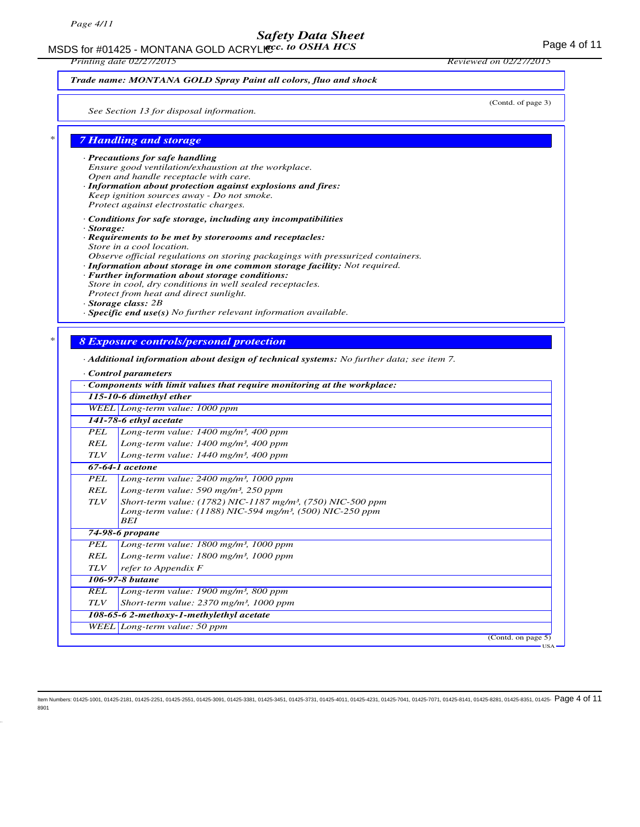MSDS for #01425 - MONTANA GOLD ACRYLICC. to OSHA HCS **Acceleration of the CONTANA COLD** ACRYLIC COSHA HCS

*Printing date 02/27/2015 Reviewed on 02/27/2015*

(Contd. of page 3)

### *Trade name: MONTANA GOLD Spray Paint all colors, fluo and shock*

*See Section 13 for disposal information.*

### *\* 7 Handling and storage*

# *· Precautions for safe handling*

- *Ensure good ventilation/exhaustion at the workplace. Open and handle receptacle with care.*
- *· Information about protection against explosions and fires: Keep ignition sources away - Do not smoke.*
- *Protect against electrostatic charges.*
- *· Conditions for safe storage, including any incompatibilities*
- *· Storage:*
- *· Requirements to be met by storerooms and receptacles: Store in a cool location.*
- *Observe official regulations on storing packagings with pressurized containers.*
- *· Information about storage in one common storage facility: Not required.*
- *· Further information about storage conditions: Store in cool, dry conditions in well sealed receptacles. Protect from heat and direct sunlight.*
- *· Storage class: 2B*
- *· Specific end use(s) No further relevant information available.*

## *\* 8 Exposure controls/personal protection*

### *· Additional information about design of technical systems: No further data; see item 7.*

*· Control parameters*

|            | $\cdot$ Components with limit values that require monitoring at the workplace: |
|------------|--------------------------------------------------------------------------------|
|            | 115-10-6 dimethyl ether                                                        |
|            | WEEL Long-term value: 1000 ppm                                                 |
|            | 141-78-6 ethyl acetate                                                         |
| PEL        | Long-term value: $1400$ mg/m <sup>3</sup> , 400 ppm                            |
| <b>REL</b> | Long-term value: $1400$ mg/m <sup>3</sup> , 400 ppm                            |
| <b>TLV</b> | Long-term value: $1440$ mg/m <sup>3</sup> , 400 ppm                            |
|            | $67-64-1$ acetone                                                              |
| PEL        | Long-term value: $2400$ mg/m <sup>3</sup> , 1000 ppm                           |
| REL        | Long-term value: $590$ mg/m <sup>3</sup> , $250$ ppm                           |
| <b>TLV</b> | Short-term value: (1782) NIC-1187 mg/m <sup>3</sup> , (750) NIC-500 ppm        |
|            | Long-term value: (1188) NIC-594 mg/m <sup>3</sup> , (500) NIC-250 ppm          |
|            | BEI                                                                            |
|            | 74-98-6 propane                                                                |
| PEL        | Long-term value: $1800$ mg/m <sup>3</sup> , 1000 ppm                           |
| REL        | Long-term value: $1800$ mg/m <sup>3</sup> , $1000$ ppm                         |
| <b>TLV</b> | refer to Appendix F                                                            |
|            | 106-97-8 butane                                                                |
| REL        | Long-term value: $1900$ mg/m <sup>3</sup> , 800 ppm                            |
| <b>TLV</b> | Short-term value: $2370$ mg/m <sup>3</sup> , 1000 ppm                          |
|            | 108-65-6 2-methoxy-1-methylethyl acetate                                       |
|            | WEEL Long-term value: 50 ppm                                                   |
|            | (Cond. on page 5)                                                              |
|            | $-USA -$                                                                       |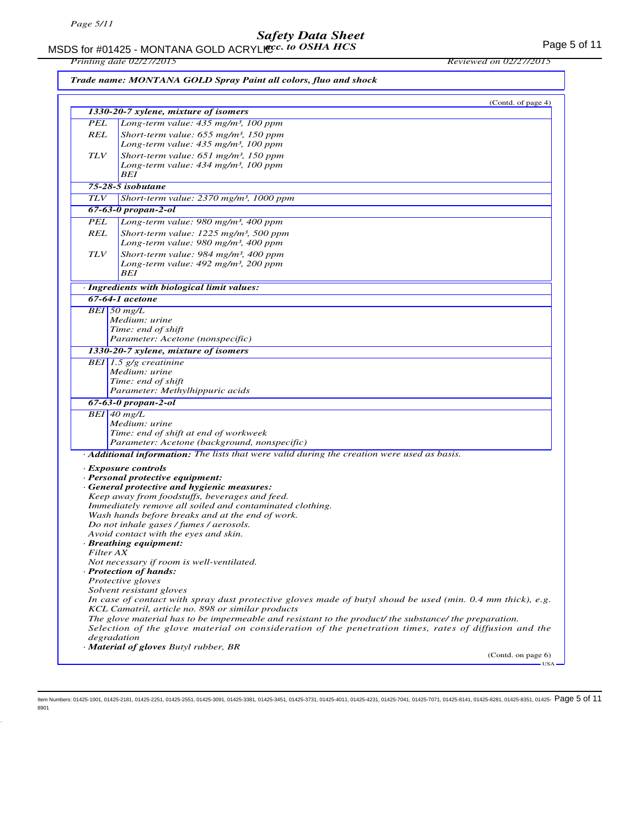MSDS for #01425 - MONTANA GOLD ACRYLIC  $cc.$  to OSHA HCS For the state of the state of 11 *acc. to OSHA HCS*

*Printing date 02/27/2015 Reviewed on 02/27/2015*

|            | Trade name: MONTANA GOLD Spray Paint all colors, fluo and shock                                                                                                   |                    |
|------------|-------------------------------------------------------------------------------------------------------------------------------------------------------------------|--------------------|
|            |                                                                                                                                                                   | (Contd. of page 4) |
|            | 1330-20-7 xylene, mixture of isomers                                                                                                                              |                    |
| <b>PEL</b> | Long-term value: 435 mg/m <sup>3</sup> , 100 ppm                                                                                                                  |                    |
| REL        | Short-term value: $655$ mg/m <sup>3</sup> , 150 ppm<br>Long-term value: 435 mg/m <sup>3</sup> , 100 ppm                                                           |                    |
| <b>TLV</b> | Short-term value: $651$ mg/m <sup>3</sup> , 150 ppm<br>Long-term value: 434 mg/m <sup>3</sup> , 100 ppm                                                           |                    |
|            | BEI                                                                                                                                                               |                    |
|            | 75-28-5 isobutane                                                                                                                                                 |                    |
| <b>TLV</b> | Short-term value: 2370 mg/m <sup>3</sup> , 1000 ppm                                                                                                               |                    |
|            | $67 - 63 - 0$ propan-2-ol                                                                                                                                         |                    |
| <b>PEL</b> | Long-term value: 980 mg/m <sup>3</sup> , 400 ppm                                                                                                                  |                    |
| REL        | Short-term value: $1225$ mg/m <sup>3</sup> , 500 ppm                                                                                                              |                    |
|            | Long-term value: 980 mg/m <sup>3</sup> , 400 ppm                                                                                                                  |                    |
| <b>TLV</b> | Short-term value: $984$ mg/m <sup>3</sup> , 400 ppm<br>Long-term value: 492 mg/m <sup>3</sup> , 200 ppm                                                           |                    |
|            | BEI                                                                                                                                                               |                    |
|            | · Ingredients with biological limit values:                                                                                                                       |                    |
|            | 67-64-1 acetone                                                                                                                                                   |                    |
|            | $BEI$ 50 mg/L                                                                                                                                                     |                    |
|            | Medium: urine                                                                                                                                                     |                    |
|            | Time: end of shift                                                                                                                                                |                    |
|            | Parameter: Acetone (nonspecific)                                                                                                                                  |                    |
|            | 1330-20-7 xylene, mixture of isomers                                                                                                                              |                    |
|            | BEI 1.5 $g/g$ creatinine                                                                                                                                          |                    |
|            | Medium: urine<br>Time: end of shift                                                                                                                               |                    |
|            | Parameter: Methylhippuric acids                                                                                                                                   |                    |
|            | 67-63-0 propan-2-ol                                                                                                                                               |                    |
|            | $BEI$ 40 mg/L                                                                                                                                                     |                    |
|            | Medium: urine                                                                                                                                                     |                    |
|            | Time: end of shift at end of workweek                                                                                                                             |                    |
|            | Parameter: Acetone (background, nonspecific)                                                                                                                      |                    |
|            | Additional information: The lists that were valid during the creation were used as basis.                                                                         |                    |
|            | · Exposure controls                                                                                                                                               |                    |
|            | · Personal protective equipment:                                                                                                                                  |                    |
|            | · General protective and hygienic measures:                                                                                                                       |                    |
|            | Keep away from foodstuffs, beverages and feed.                                                                                                                    |                    |
|            | Immediately remove all soiled and contaminated clothing.                                                                                                          |                    |
|            | Wash hands before breaks and at the end of work.                                                                                                                  |                    |
|            | Do not inhale gases / fumes / aerosols.<br>Avoid contact with the eyes and skin.                                                                                  |                    |
|            | · Breathing equipment:                                                                                                                                            |                    |
|            | Filter AX                                                                                                                                                         |                    |
|            | Not necessary if room is well-ventilated.                                                                                                                         |                    |
|            | · Protection of hands:                                                                                                                                            |                    |
|            | Protective gloves                                                                                                                                                 |                    |
|            | Solvent resistant gloves                                                                                                                                          |                    |
|            | In case of contact with spray dust protective gloves made of butyl shoud be used (min. $0.4$ mm thick), e.g.<br>KCL Camatril, article no. 898 or similar products |                    |
|            | The glove material has to be impermeable and resistant to the product/ the substance/ the preparation.                                                            |                    |
|            | Selection of the glove material on consideration of the penetration times, rates of diffusion and the                                                             |                    |
|            | degradation<br>· Material of gloves Butyl rubber, BR                                                                                                              |                    |
|            |                                                                                                                                                                   | (Contd. on page 6) |
|            |                                                                                                                                                                   | USA-               |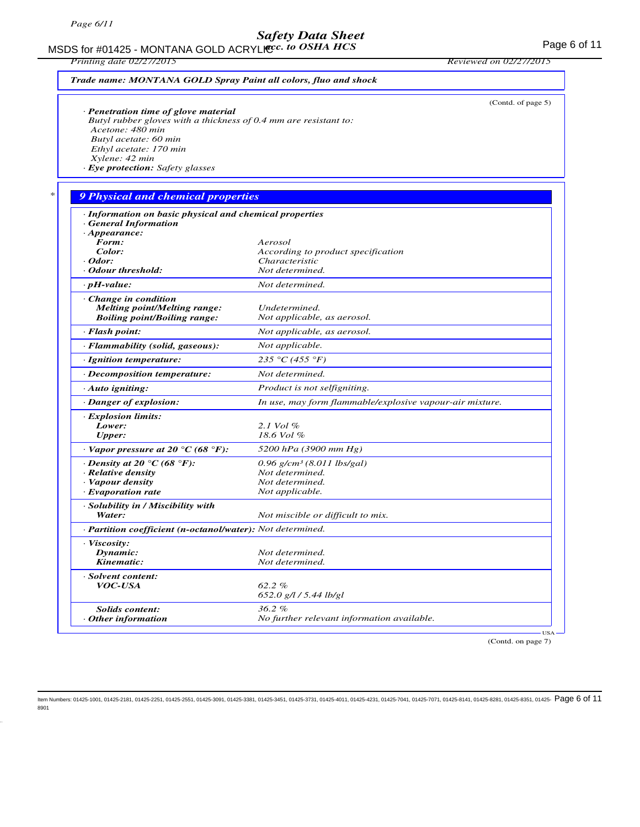MSDS for #01425 - MONTANA GOLD ACRYLICC. to OSHA HCS For the state of the state of  $11$ *acc. to OSHA HCS*

*Printing date 02/27/2015 Reviewed on 02/27/2015*

|                                                                                      | (Contd. of page 5)                                       |
|--------------------------------------------------------------------------------------|----------------------------------------------------------|
| · Penetration time of glove material                                                 |                                                          |
| Butyl rubber gloves with a thickness of 0.4 mm are resistant to:<br>Acetone: 480 min |                                                          |
| Butyl acetate: 60 min                                                                |                                                          |
| Ethyl acetate: 170 min                                                               |                                                          |
| Xylene: 42 min                                                                       |                                                          |
| · Eye protection: Safety glasses                                                     |                                                          |
| 9 Physical and chemical properties                                                   |                                                          |
| · Information on basic physical and chemical properties                              |                                                          |
| <b>General Information</b>                                                           |                                                          |
| $\cdot$ Appearance:                                                                  |                                                          |
| Form:                                                                                | Aerosol                                                  |
| Color:                                                                               | According to product specification                       |
| · Odor:                                                                              | Characteristic                                           |
| · Odour threshold:                                                                   | Not determined.                                          |
| $\cdot$ pH-value:                                                                    | Not determined.                                          |
| · Change in condition                                                                |                                                          |
| <b>Melting point/Melting range:</b>                                                  | Undetermined.                                            |
| <b>Boiling point/Boiling range:</b>                                                  | Not applicable, as aerosol.                              |
| · Flash point:                                                                       | Not applicable, as aerosol.                              |
| · Flammability (solid, gaseous):                                                     | Not applicable.                                          |
| · Ignition temperature:                                                              | 235 °C (455 °F)                                          |
| · Decomposition temperature:                                                         | Not determined.                                          |
| $\cdot$ Auto igniting:                                                               | Product is not selfigniting.                             |
| · Danger of explosion:                                                               | In use, may form flammable/explosive vapour-air mixture. |
| <b>Explosion limits:</b>                                                             |                                                          |
| Lower:                                                                               | 2.1 Vol %<br>18.6 Vol %                                  |
| <b>Upper:</b><br>$\cdot$ Vapor pressure at 20 °C (68 °F):                            | 5200 hPa (3900 mm Hg)                                    |
| $\cdot$ Density at 20 $\degree$ C (68 $\degree$ F):                                  | $0.96$ g/cm <sup>3</sup> (8.011 lbs/gal)                 |
| · Relative density                                                                   | Not determined.                                          |
| · Vapour density                                                                     | Not determined.                                          |
| · Evaporation rate                                                                   | Not applicable.                                          |
| · Solubility in / Miscibility with                                                   |                                                          |
| Water:                                                                               | Not miscible or difficult to mix.                        |
| · Partition coefficient (n-octanol/water): Not determined.                           |                                                          |
| · Viscosity:                                                                         |                                                          |
| Dynamic:                                                                             | Not determined.                                          |
| Kinematic:                                                                           | Not determined.                                          |
| · Solvent content:                                                                   |                                                          |
| <i>VOC-USA</i>                                                                       | 62.2%                                                    |
|                                                                                      | $652.0$ g/l / 5.44 lb/gl                                 |
| <b>Solids content:</b>                                                               | 36.2%                                                    |
| Other information                                                                    | No further relevant information available.               |

(Contd. on page 7)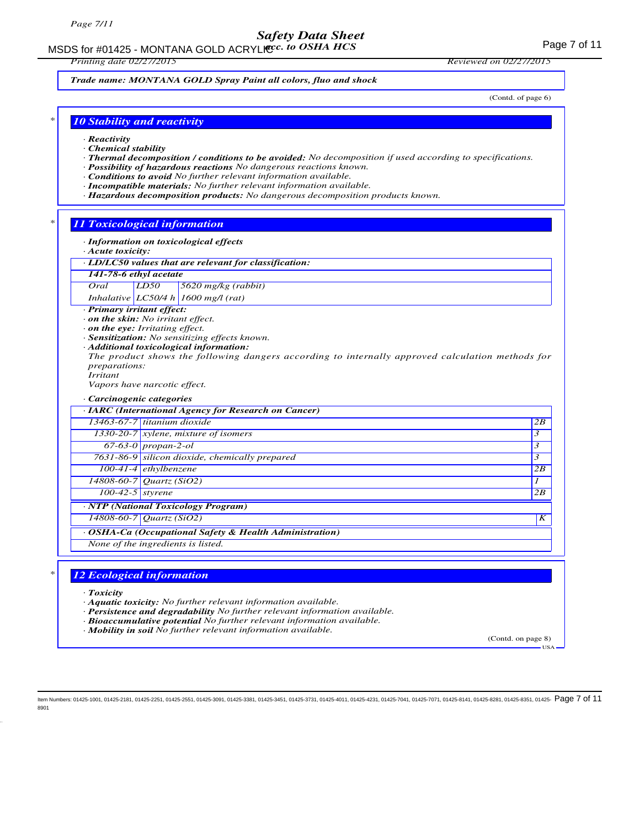MSDS for #01425 - MONTANA GOLD ACRYLICC. to OSHA HCS **Acceleration of the CONTANA COLD** ACRYLIC COSHA HCS

*Trade name: MONTANA GOLD Spray Paint all colors, fluo and shock*

(Contd. of page 6)

### *\* 10 Stability and reactivity*

- *· Reactivity*
- *· Chemical stability*
- *· Thermal decomposition / conditions to be avoided: No decomposition if used according to specifications.*
- *· Possibility of hazardous reactions No dangerous reactions known.*
- *· Conditions to avoid No further relevant information available.*
- *· Incompatible materials: No further relevant information available.*
- *· Hazardous decomposition products: No dangerous decomposition products known.*

### *\* 11 Toxicological information*

*· Information on toxicological effects*

- *· Acute toxicity:*
- *· LD/LC50 values that are relevant for classification:*

| 141-78-6 ethyl acetate |
|------------------------|
|------------------------|

### *Oral LD50 5620 mg/kg (rabbit)*

*Inhalative LC50/4 h 1600 mg/l (rat)*

*· Primary irritant effect:*

- *· on the skin: No irritant effect.*
- *· on the eye: Irritating effect.*
- *· Sensitization: No sensitizing effects known.*
- *· Additional toxicological information:*
- *The product shows the following dangers according to internally approved calculation methods for preparations: Irritant*

*Vapors have narcotic effect.*

#### *· Carcinogenic categories*

|                    | · IARC (International Agency for Research on Cancer)    |    |
|--------------------|---------------------------------------------------------|----|
|                    | 13463-67-7 titanium dioxide                             | 2B |
|                    | $1330-20-7$ xylene, mixture of isomers                  | 3  |
|                    | $67-63-0$ propan-2-ol                                   | 3  |
|                    | 7631-86-9 silicon dioxide, chemically prepared          | 3  |
|                    | 100-41-4 $\epsilon$ thylbenzene                         | 2B |
|                    | 14808-60-7 Quartz (SiO2)                                |    |
| $100-42-5$ styrene |                                                         | 2B |
|                    | · NTP (National Toxicology Program)                     |    |
|                    | $14808 - 60 - 7$ <i>Quartz</i> (SiO2)                   | K  |
|                    | · OSHA-Ca (Occupational Safety & Health Administration) |    |
|                    | None of the ingredients is listed.                      |    |
|                    |                                                         |    |

### *\* 12 Ecological information*

- *· Toxicity*
- *· Aquatic toxicity: No further relevant information available.*
- *· Persistence and degradability No further relevant information available.*
- *· Bioaccumulative potential No further relevant information available.*

*· Mobility in soil No further relevant information available.*

(Contd. on page 8)

USA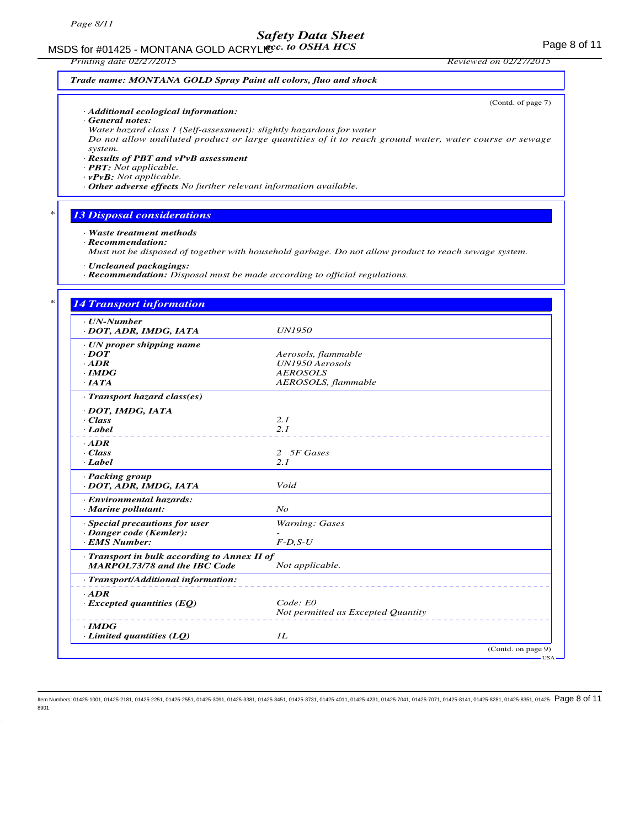# MSDS for #01425 - MONTANA GOLD ACRYLICC. to OSHA HCS **Acceleration of the COSE ACCOLD** ACRYLIC COSHA HCS

*Printing date 02/27/2015 Reviewed on 02/27/2015*

(Contd. of page 7)

USA

### *Trade name: MONTANA GOLD Spray Paint all colors, fluo and shock*

*· Additional ecological information:*

*· General notes:*

*Water hazard class 1 (Self-assessment): slightly hazardous for water Do not allow undiluted product or large quantities of it to reach ground water, water course or sewage system.*

### *· Results of PBT and vPvB assessment*

*· PBT: Not applicable.*

*· vPvB: Not applicable.*

*· Other adverse effects No further relevant information available.*

### *\* 13 Disposal considerations*

*· Waste treatment methods*

*· Recommendation:*

*Must not be disposed of together with household garbage. Do not allow product to reach sewage system.*

*· Uncleaned packagings:*

*· Recommendation: Disposal must be made according to official regulations.*

### *\* 14 Transport information*

| $\cdot$ UN-Number                            |                                    |
|----------------------------------------------|------------------------------------|
| · DOT, ADR, IMDG, IATA                       | <b>UN1950</b>                      |
| · UN proper shipping name                    |                                    |
| $\cdot$ DOT                                  | Aerosols, flammable                |
| $\cdot$ ADR                                  | UN1950 Aerosols                    |
| $\cdot$ IMDG                                 | <b>AEROSOLS</b>                    |
| $\cdot$ IATA                                 | AEROSOLS, flammable                |
| · Transport hazard class(es)                 |                                    |
| · DOT, IMDG, IATA                            |                                    |
| · Class                                      | 2.1                                |
| · Label                                      | 2.1                                |
| $-ADR$                                       |                                    |
| · Class                                      | 2 5F Gases                         |
| $\cdot$ <i>Label</i>                         | 2.1                                |
| · Packing group                              |                                    |
| · DOT, ADR, IMDG, IATA                       | Void                               |
| · Environmental hazards:                     |                                    |
| · Marine pollutant:                          | $N_{O}$                            |
| · Special precautions for user               | <b>Warning: Gases</b>              |
| · Danger code (Kemler):                      |                                    |
| · EMS Number:                                | $F-D, S-U$                         |
| · Transport in bulk according to Annex II of |                                    |
| <b>MARPOL73/78 and the IBC Code</b>          | Not applicable.                    |
| · Transport/Additional information:          |                                    |
| $\cdot$ ADR                                  |                                    |
| $\cdot$ Excepted quantities (EQ)             | Code: E0                           |
|                                              | Not permitted as Excepted Quantity |
| $\cdot$ IMDG                                 |                                    |
| $\cdot$ Limited quantities (LQ)              | II.                                |
|                                              | (Contd. on page 9)                 |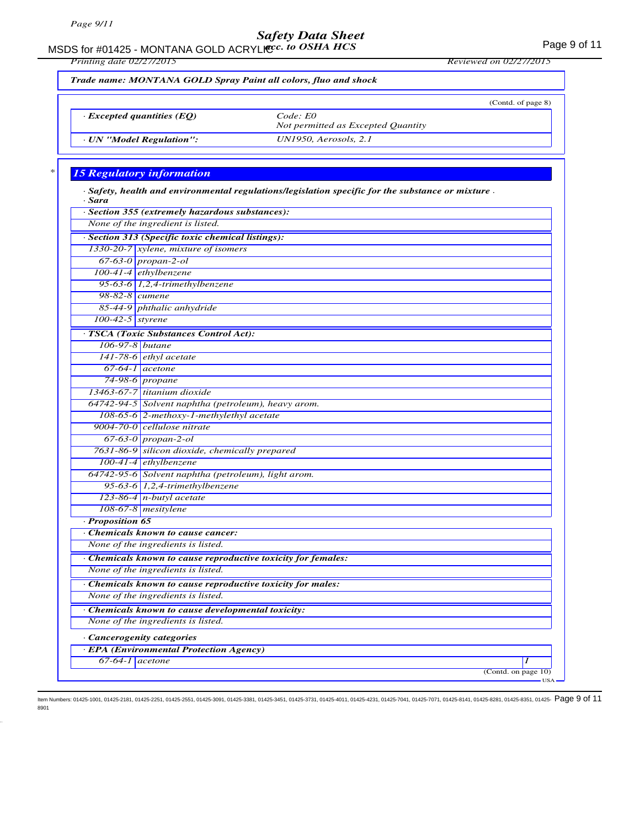MSDS for #01425 - MONTANA GOLD ACRYLICC. to OSHA HCS **Acceleration of the CONTANA COLD** ACRYLIC COSHA HCS

*Printing date 02/27/2015 Reviewed on 02/27/2015*

*Trade name: MONTANA GOLD Spray Paint all colors, fluo and shock*

|                                  | (Contd. of page 8)                             |
|----------------------------------|------------------------------------------------|
| $\cdot$ Excepted quantities (EO) | Code: E0<br>Not permitted as Excepted Quantity |
| · UN "Model Regulation":         | $UN1950$ , Aerosols, 2.1                       |

## *\* 15 Regulatory information*

| · Sara            | $\cdot$ Safety, health and environmental regulations/legislation specific for the substance or mixture. |
|-------------------|---------------------------------------------------------------------------------------------------------|
|                   | · Section 355 (extremely hazardous substances):                                                         |
|                   | None of the ingredient is listed.                                                                       |
|                   | · Section 313 (Specific toxic chemical listings):                                                       |
|                   | 1330-20-7 xylene, mixture of isomers                                                                    |
|                   | $67-63-0$ propan-2-ol                                                                                   |
|                   | 100-41-4 ethylbenzene                                                                                   |
|                   | 95-63-6 $1,2,4$ -trimethylbenzene                                                                       |
| 98-82-8 $cumene$  |                                                                                                         |
|                   | 85-44-9 phthalic anhydride                                                                              |
| 100-42-5 styrene  |                                                                                                         |
|                   | · TSCA (Toxic Substances Control Act):                                                                  |
| 106-97-8 butane   |                                                                                                         |
|                   | $141-78-6$ ethyl acetate                                                                                |
|                   | $67-64-1$ acetone                                                                                       |
|                   | 74-98-6 propane                                                                                         |
|                   | 13463-67-7 titanium dioxide                                                                             |
|                   | 64742-94-5 Solvent naphtha (petroleum), heavy arom.                                                     |
|                   | 108-65-6 2-methoxy-1-methylethyl acetate                                                                |
|                   | 9004-70-0 cellulose nitrate                                                                             |
|                   | $67-63-0$ propan-2-ol                                                                                   |
|                   | 7631-86-9 silicon dioxide, chemically prepared                                                          |
|                   | $100-41-4$ ethylbenzene                                                                                 |
|                   | 64742-95-6 Solvent naphtha (petroleum), light arom.                                                     |
|                   | 95-63-6 $1,2,4$ -trimethylbenzene                                                                       |
|                   | $123-86-4$ n-butyl acetate                                                                              |
|                   | 108-67-8 mesitylene                                                                                     |
| · Proposition 65  |                                                                                                         |
|                   | Chemicals known to cause cancer:                                                                        |
|                   | None of the ingredients is listed.                                                                      |
|                   | · Chemicals known to cause reproductive toxicity for females:                                           |
|                   | None of the ingredients is listed.                                                                      |
|                   | Chemicals known to cause reproductive toxicity for males:                                               |
|                   | None of the ingredients is listed.                                                                      |
|                   | Chemicals known to cause developmental toxicity:                                                        |
|                   | None of the ingredients is listed.                                                                      |
|                   | · Cancerogenity categories                                                                              |
|                   | · EPA (Environmental Protection Agency)                                                                 |
| $67-64-1$ acetone |                                                                                                         |
|                   | (Contd. on page 10)                                                                                     |
|                   | $USA -$                                                                                                 |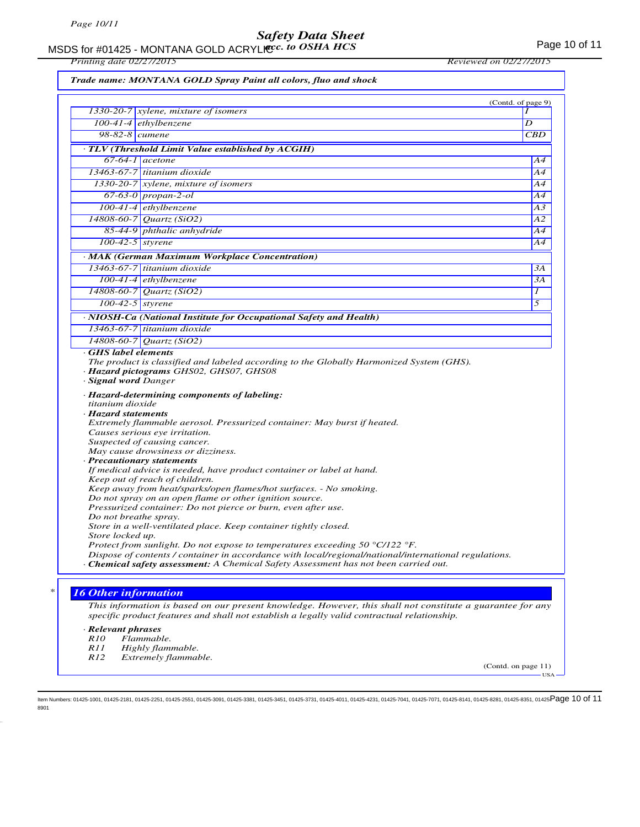MSDS for #01425 - MONTANA GOLD ACRYLIC  $cc.$  to OSHA HCS For the control of 11 *acc. to OSHA HCS*

*Printing date 02/27/2015 Reviewed on 02/27/2015*

|                             |                                                                                                                                                                                                                                                                                                 | (Contd. of page 9) |
|-----------------------------|-------------------------------------------------------------------------------------------------------------------------------------------------------------------------------------------------------------------------------------------------------------------------------------------------|--------------------|
|                             | 1330-20-7 $x$ ylene, mixture of isomers                                                                                                                                                                                                                                                         |                    |
|                             | $100-41-4$ ethylbenzene                                                                                                                                                                                                                                                                         | D                  |
| 98-82-8 cumene              |                                                                                                                                                                                                                                                                                                 | CBD                |
|                             | · TLV (Threshold Limit Value established by ACGIH)                                                                                                                                                                                                                                              |                    |
|                             | $67-64-1$ acetone                                                                                                                                                                                                                                                                               | Α4                 |
|                             | 13463-67-7 titanium dioxide                                                                                                                                                                                                                                                                     |                    |
|                             | 1330-20-7 xylene, mixture of isomers                                                                                                                                                                                                                                                            |                    |
|                             | 67-63-0 propan-2-ol                                                                                                                                                                                                                                                                             |                    |
|                             | 100-41-4 ethylbenzene                                                                                                                                                                                                                                                                           | A3                 |
|                             | $14808 - 60 - 7$ <i>Quartz</i> (SiO2)                                                                                                                                                                                                                                                           | A2                 |
|                             | 85-44-9 phthalic anhydride                                                                                                                                                                                                                                                                      |                    |
|                             | 100-42-5 styrene                                                                                                                                                                                                                                                                                |                    |
|                             | · MAK (German Maximum Workplace Concentration)                                                                                                                                                                                                                                                  |                    |
|                             | $13463-67-7$ titanium dioxide                                                                                                                                                                                                                                                                   |                    |
|                             | $100-41-4$ ethylbenzene                                                                                                                                                                                                                                                                         |                    |
|                             | 14808-60-7 Quartz (SiO2)                                                                                                                                                                                                                                                                        |                    |
|                             | $100-42-5$ styrene                                                                                                                                                                                                                                                                              |                    |
|                             | · NIOSH-Ca (National Institute for Occupational Safety and Health)                                                                                                                                                                                                                              |                    |
|                             | 13463-67-7 titanium dioxide                                                                                                                                                                                                                                                                     |                    |
|                             | 14808-60-7 Quartz (SiO2)                                                                                                                                                                                                                                                                        |                    |
|                             | Causes serious eye irritation.<br>Suspected of causing cancer.<br>May cause drowsiness or dizziness.                                                                                                                                                                                            |                    |
|                             | · Precautionary statements<br>If medical advice is needed, have product container or label at hand.<br>Keep out of reach of children.<br>Keep away from heat/sparks/open flames/hot surfaces. - No smoking.                                                                                     |                    |
|                             | Do not spray on an open flame or other ignition source.                                                                                                                                                                                                                                         |                    |
|                             | Pressurized container: Do not pierce or burn, even after use.                                                                                                                                                                                                                                   |                    |
| Do not breathe spray.       |                                                                                                                                                                                                                                                                                                 |                    |
| Store locked up.            | Store in a well-ventilated place. Keep container tightly closed.                                                                                                                                                                                                                                |                    |
|                             | Protect from sunlight. Do not expose to temperatures exceeding 50 $\degree$ C/122 $\degree$ F.<br>Dispose of contents / container in accordance with local/regional/national/international regulations.<br>· Chemical safety assessment: A Chemical Safety Assessment has not been carried out. |                    |
| <b>16 Other information</b> |                                                                                                                                                                                                                                                                                                 |                    |
|                             | This information is based on our present knowledge. However, this shall not constitute a guarantee for any<br>specific product features and shall not establish a legally valid contractual relationship.                                                                                       |                    |
| · Relevant phrases          |                                                                                                                                                                                                                                                                                                 |                    |
| <i>R10</i><br><i>R11</i>    | Flammable.<br>Highly flammable.                                                                                                                                                                                                                                                                 |                    |